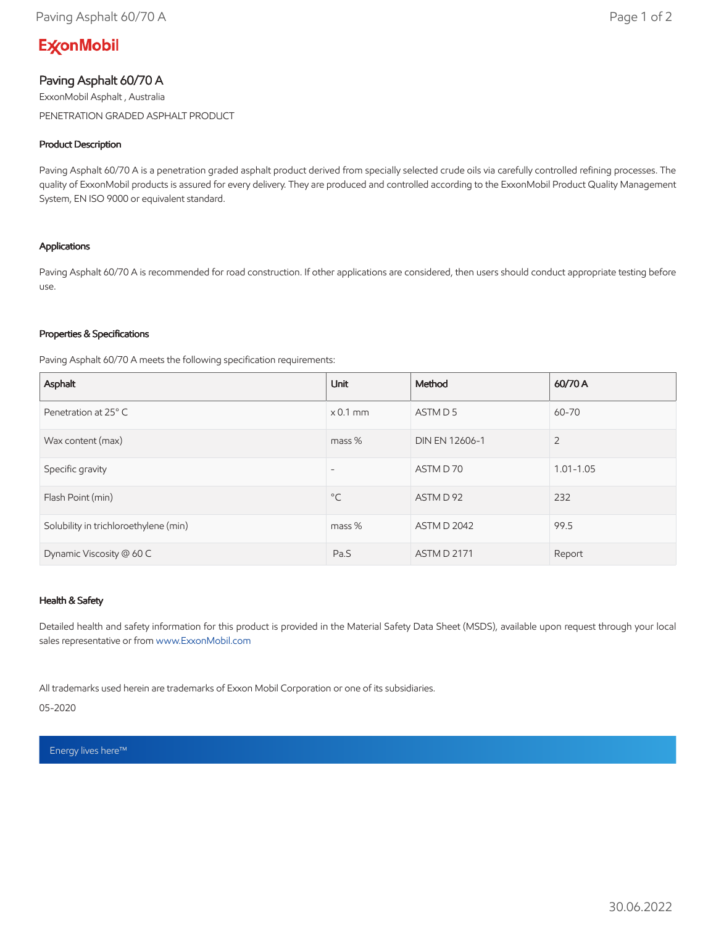# **ExconMobil**

## Paving Asphalt 60/70 A

ExxonMobil Asphalt , Australia PENETRATION GRADED ASPHALT PRODUCT

### Product Description

Paving Asphalt 60/70 A is a penetration graded asphalt product derived from specially selected crude oils via carefully controlled refining processes. The quality of ExxonMobil products is assured for every delivery. They are produced and controlled according to the ExxonMobil Product Quality Management System, EN ISO 9000 or equivalent standard.

### Applications

Paving Asphalt 60/70 A is recommended for road construction. If other applications are considered, then users should conduct appropriate testing before use.

#### Properties & Specifications

Paving Asphalt 60/70 A meets the following specification requirements:

| Asphalt                               | <b>Unit</b>              | Method             | 60/70 A        |
|---------------------------------------|--------------------------|--------------------|----------------|
| Penetration at 25° C                  | $\times$ 0.1 mm          | ASTM D 5           | 60-70          |
| Wax content (max)                     | $mass %$                 | DIN EN 12606-1     | $\overline{2}$ |
| Specific gravity                      | $\overline{\phantom{a}}$ | ASTM D 70          | $1.01 - 1.05$  |
| Flash Point (min)                     | $^{\circ}$ C             | ASTM D 92          | 232            |
| Solubility in trichloroethylene (min) | mass %                   | <b>ASTM D 2042</b> | 99.5           |
| Dynamic Viscosity @ 60 C              | Pa.S                     | <b>ASTM D 2171</b> | Report         |

### Health & Safety

Detailed health and safety information for this product is provided in the Material Safety Data Sheet (MSDS), available upon request through your local sales representative or from [www.ExxonMobil.com](http://www.exxonmobil.com/)

All trademarks used herein are trademarks of Exxon Mobil Corporation or one of its subsidiaries.

05-2020

Energy lives here™